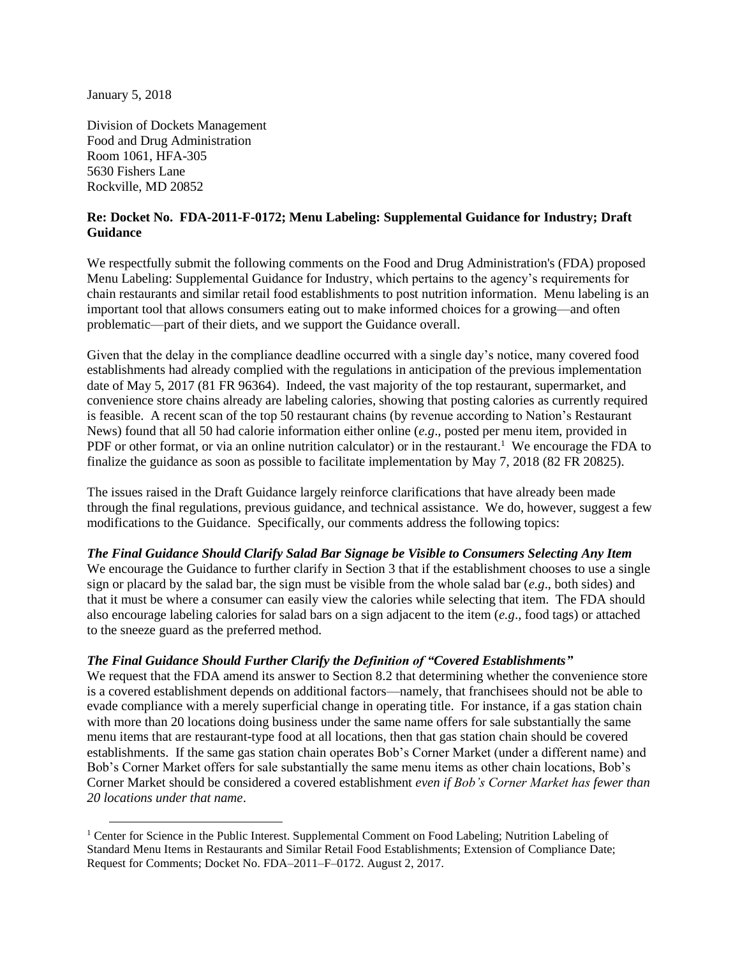January 5, 2018

 $\overline{\phantom{a}}$ 

Division of Dockets Management Food and Drug Administration Room 1061, HFA-305 5630 Fishers Lane Rockville, MD 20852

### **Re: Docket No. FDA-2011-F-0172; Menu Labeling: Supplemental Guidance for Industry; Draft Guidance**

We respectfully submit the following comments on the Food and Drug Administration's (FDA) proposed Menu Labeling: Supplemental Guidance for Industry, which pertains to the agency's requirements for chain restaurants and similar retail food establishments to post nutrition information. Menu labeling is an important tool that allows consumers eating out to make informed choices for a growing—and often problematic—part of their diets, and we support the Guidance overall.

Given that the delay in the compliance deadline occurred with a single day's notice, many covered food establishments had already complied with the regulations in anticipation of the previous implementation date of May 5, 2017 (81 FR 96364). Indeed, the vast majority of the top restaurant, supermarket, and convenience store chains already are labeling calories, showing that posting calories as currently required is feasible. A recent scan of the top 50 restaurant chains (by revenue according to Nation's Restaurant News) found that all 50 had calorie information either online (*e.g*., posted per menu item, provided in PDF or other format, or via an online nutrition calculator) or in the restaurant.<sup>1</sup> We encourage the FDA to finalize the guidance as soon as possible to facilitate implementation by May 7, 2018 (82 FR 20825).

The issues raised in the Draft Guidance largely reinforce clarifications that have already been made through the final regulations, previous guidance, and technical assistance. We do, however, suggest a few modifications to the Guidance. Specifically, our comments address the following topics:

### *The Final Guidance Should Clarify Salad Bar Signage be Visible to Consumers Selecting Any Item*

We encourage the Guidance to further clarify in Section 3 that if the establishment chooses to use a single sign or placard by the salad bar, the sign must be visible from the whole salad bar (*e.g*., both sides) and that it must be where a consumer can easily view the calories while selecting that item. The FDA should also encourage labeling calories for salad bars on a sign adjacent to the item (*e.g*., food tags) or attached to the sneeze guard as the preferred method.

### *The Final Guidance Should Further Clarify the Definition of "Covered Establishments"*

We request that the FDA amend its answer to Section 8.2 that determining whether the convenience store is a covered establishment depends on additional factors—namely, that franchisees should not be able to evade compliance with a merely superficial change in operating title. For instance, if a gas station chain with more than 20 locations doing business under the same name offers for sale substantially the same menu items that are restaurant-type food at all locations, then that gas station chain should be covered establishments. If the same gas station chain operates Bob's Corner Market (under a different name) and Bob's Corner Market offers for sale substantially the same menu items as other chain locations, Bob's Corner Market should be considered a covered establishment *even if Bob's Corner Market has fewer than 20 locations under that name*.

<sup>&</sup>lt;sup>1</sup> Center for Science in the Public Interest. Supplemental Comment on Food Labeling; Nutrition Labeling of Standard Menu Items in Restaurants and Similar Retail Food Establishments; Extension of Compliance Date; Request for Comments; Docket No. FDA–2011–F–0172. August 2, 2017.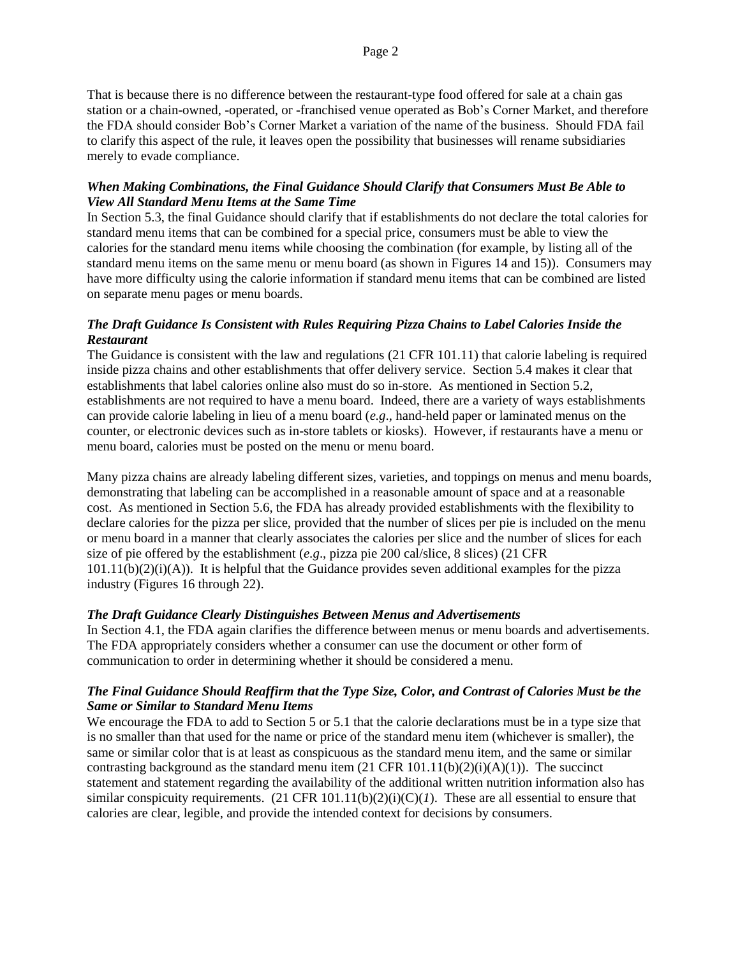That is because there is no difference between the restaurant-type food offered for sale at a chain gas station or a chain-owned, -operated, or -franchised venue operated as Bob's Corner Market, and therefore the FDA should consider Bob's Corner Market a variation of the name of the business. Should FDA fail to clarify this aspect of the rule, it leaves open the possibility that businesses will rename subsidiaries merely to evade compliance.

### *When Making Combinations, the Final Guidance Should Clarify that Consumers Must Be Able to View All Standard Menu Items at the Same Time*

In Section 5.3, the final Guidance should clarify that if establishments do not declare the total calories for standard menu items that can be combined for a special price, consumers must be able to view the calories for the standard menu items while choosing the combination (for example, by listing all of the standard menu items on the same menu or menu board (as shown in Figures 14 and 15)). Consumers may have more difficulty using the calorie information if standard menu items that can be combined are listed on separate menu pages or menu boards.

## *The Draft Guidance Is Consistent with Rules Requiring Pizza Chains to Label Calories Inside the Restaurant*

The Guidance is consistent with the law and regulations (21 CFR 101.11) that calorie labeling is required inside pizza chains and other establishments that offer delivery service. Section 5.4 makes it clear that establishments that label calories online also must do so in-store. As mentioned in Section 5.2, establishments are not required to have a menu board. Indeed, there are a variety of ways establishments can provide calorie labeling in lieu of a menu board (*e.g*., hand-held paper or laminated menus on the counter, or electronic devices such as in-store tablets or kiosks). However, if restaurants have a menu or menu board, calories must be posted on the menu or menu board.

Many pizza chains are already labeling different sizes, varieties, and toppings on menus and menu boards, demonstrating that labeling can be accomplished in a reasonable amount of space and at a reasonable cost. As mentioned in Section 5.6, the FDA has already provided establishments with the flexibility to declare calories for the pizza per slice, provided that the number of slices per pie is included on the menu or menu board in a manner that clearly associates the calories per slice and the number of slices for each size of pie offered by the establishment (*e.g*., pizza pie 200 cal/slice, 8 slices) (21 CFR 101.11(b)(2)(i)(A)). It is helpful that the Guidance provides seven additional examples for the pizza industry (Figures 16 through 22).

### *The Draft Guidance Clearly Distinguishes Between Menus and Advertisements*

In Section 4.1, the FDA again clarifies the difference between menus or menu boards and advertisements. The FDA appropriately considers whether a consumer can use the document or other form of communication to order in determining whether it should be considered a menu.

### *The Final Guidance Should Reaffirm that the Type Size, Color, and Contrast of Calories Must be the Same or Similar to Standard Menu Items*

We encourage the FDA to add to Section 5 or 5.1 that the calorie declarations must be in a type size that is no smaller than that used for the name or price of the standard menu item (whichever is smaller), the same or similar color that is at least as conspicuous as the standard menu item, and the same or similar contrasting background as the standard menu item  $(21 \text{ CFR } 101.11(b)(2)(i)(A)(1))$ . The succinct statement and statement regarding the availability of the additional written nutrition information also has similar conspicuity requirements.  $(21 \text{ CFR } 101.11(b)(2)(i)(C)(I)$ . These are all essential to ensure that calories are clear, legible, and provide the intended context for decisions by consumers.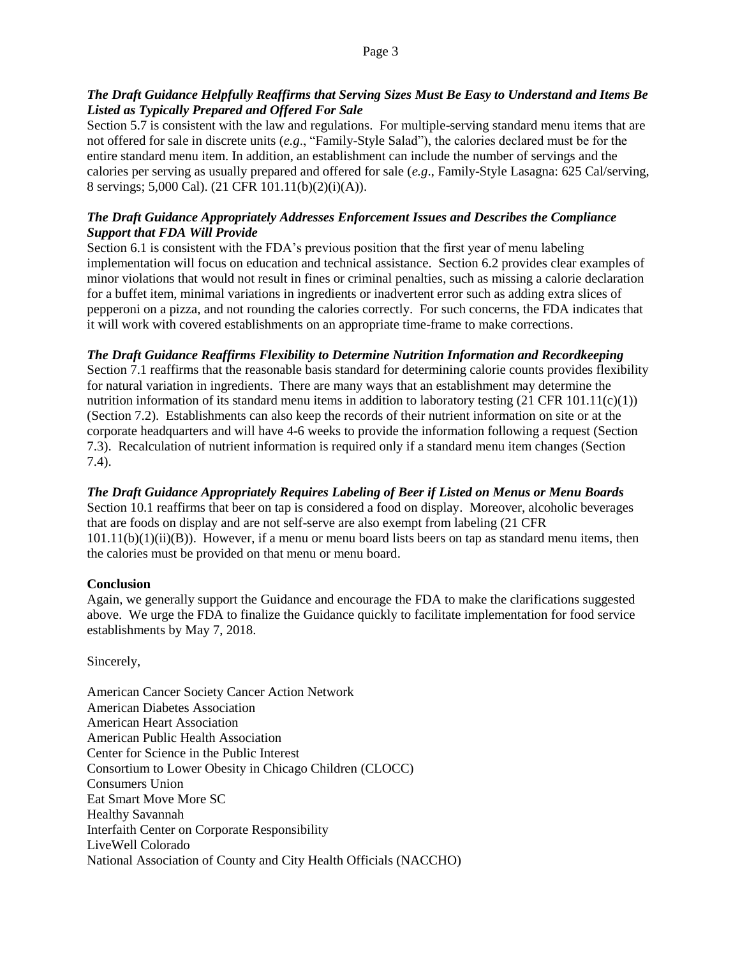#### Page 3

### *The Draft Guidance Helpfully Reaffirms that Serving Sizes Must Be Easy to Understand and Items Be Listed as Typically Prepared and Offered For Sale*

Section 5.7 is consistent with the law and regulations. For multiple-serving standard menu items that are not offered for sale in discrete units (*e.g*., "Family-Style Salad"), the calories declared must be for the entire standard menu item. In addition, an establishment can include the number of servings and the calories per serving as usually prepared and offered for sale (*e.g*., Family-Style Lasagna: 625 Cal/serving, 8 servings; 5,000 Cal). (21 CFR 101.11(b)(2)(i)(A)).

### *The Draft Guidance Appropriately Addresses Enforcement Issues and Describes the Compliance Support that FDA Will Provide*

Section 6.1 is consistent with the FDA's previous position that the first year of menu labeling implementation will focus on education and technical assistance. Section 6.2 provides clear examples of minor violations that would not result in fines or criminal penalties, such as missing a calorie declaration for a buffet item, minimal variations in ingredients or inadvertent error such as adding extra slices of pepperoni on a pizza, and not rounding the calories correctly. For such concerns, the FDA indicates that it will work with covered establishments on an appropriate time-frame to make corrections.

# *The Draft Guidance Reaffirms Flexibility to Determine Nutrition Information and Recordkeeping*

Section 7.1 reaffirms that the reasonable basis standard for determining calorie counts provides flexibility for natural variation in ingredients. There are many ways that an establishment may determine the nutrition information of its standard menu items in addition to laboratory testing  $(21 \text{ CFR } 101.11(c)(1))$ (Section 7.2). Establishments can also keep the records of their nutrient information on site or at the corporate headquarters and will have 4-6 weeks to provide the information following a request (Section 7.3). Recalculation of nutrient information is required only if a standard menu item changes (Section 7.4).

# *The Draft Guidance Appropriately Requires Labeling of Beer if Listed on Menus or Menu Boards*

Section 10.1 reaffirms that beer on tap is considered a food on display. Moreover, alcoholic beverages that are foods on display and are not self-serve are also exempt from labeling (21 CFR  $101.11(b)(1)(ii)(B)$ . However, if a menu or menu board lists beers on tap as standard menu items, then the calories must be provided on that menu or menu board.

### **Conclusion**

Again, we generally support the Guidance and encourage the FDA to make the clarifications suggested above. We urge the FDA to finalize the Guidance quickly to facilitate implementation for food service establishments by May 7, 2018.

Sincerely,

American Cancer Society Cancer Action Network American Diabetes Association American Heart Association American Public Health Association Center for Science in the Public Interest Consortium to Lower Obesity in Chicago Children (CLOCC) Consumers Union Eat Smart Move More SC Healthy Savannah Interfaith Center on Corporate Responsibility LiveWell Colorado National Association of County and City Health Officials (NACCHO)